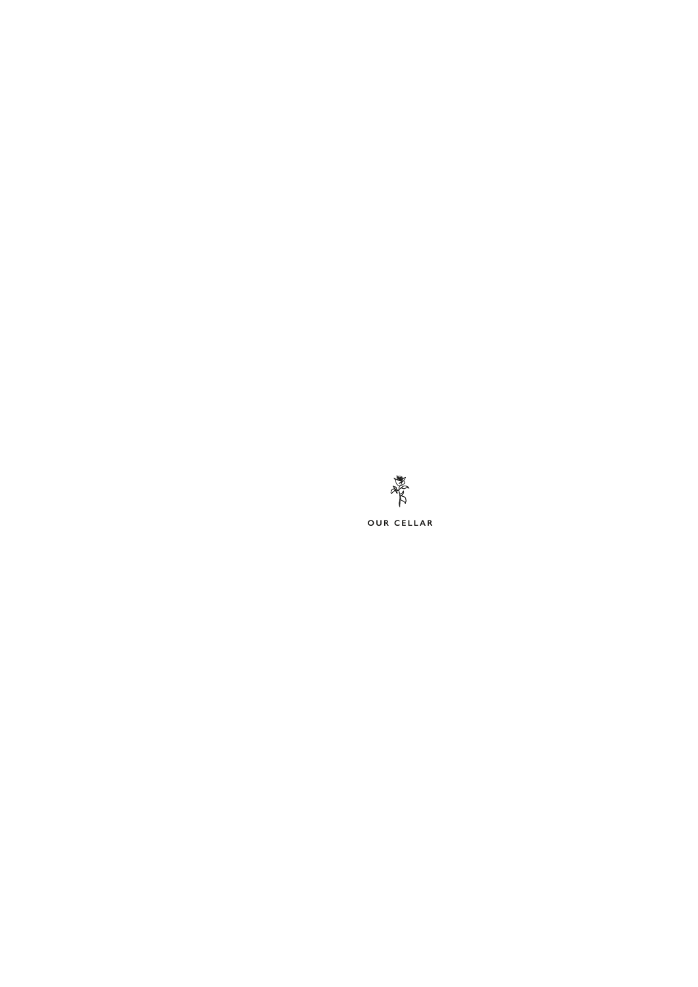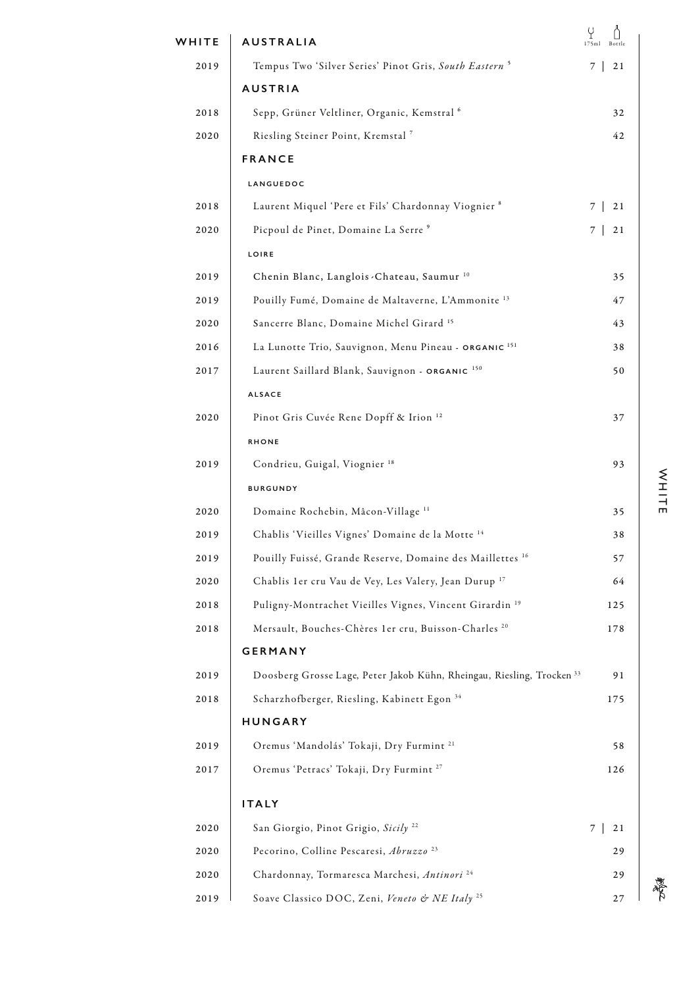| WHITE | <b>AUSTRALIA</b>                                                                  | Y<br>175ml<br>Bottle |
|-------|-----------------------------------------------------------------------------------|----------------------|
| 2019  | Tempus Two 'Silver Series' Pinot Gris, South Eastern <sup>5</sup>                 | 7<br>21              |
|       | <b>AUSTRIA</b>                                                                    |                      |
| 2018  | Sepp, Grüner Veltliner, Organic, Kemstral <sup>6</sup>                            | 32                   |
| 2020  | Riesling Steiner Point, Kremstal <sup>7</sup>                                     | 42                   |
|       | <b>FRANCE</b>                                                                     |                      |
|       | LANGUEDOC                                                                         |                      |
| 2018  | Laurent Miquel 'Pere et Fils' Chardonnay Viognier 8                               | 7 I<br>21            |
| 2020  | Picpoul de Pinet, Domaine La Serre <sup>9</sup>                                   | 21<br>7 I            |
|       | LOIRE                                                                             |                      |
| 2019  | Chenin Blanc, Langlois . Chateau, Saumur <sup>10</sup>                            | 35                   |
| 2019  | Pouilly Fumé, Domaine de Maltaverne, L'Ammonite <sup>13</sup>                     | 47                   |
| 2020  | Sancerre Blanc, Domaine Michel Girard <sup>15</sup>                               | 43                   |
| 2016  | La Lunotte Trio, Sauvignon, Menu Pineau - ORGANIC <sup>151</sup>                  | 38                   |
| 2017  | Laurent Saillard Blank, Sauvignon - ORGANIC 150                                   | 50                   |
|       | <b>ALSACE</b>                                                                     |                      |
| 2020  | Pinot Gris Cuvée Rene Dopff & Irion <sup>12</sup>                                 | 37                   |
|       | <b>RHONE</b>                                                                      |                      |
| 2019  | Condrieu, Guigal, Viognier <sup>18</sup>                                          | 93                   |
|       | <b>BURGUNDY</b>                                                                   |                      |
| 2020  | Domaine Rochebin, Mâcon-Village <sup>11</sup>                                     | 35                   |
| 2019  | Chablis 'Vieilles Vignes' Domaine de la Motte 14                                  | 38                   |
| 2019  | Pouilly Fuissé, Grande Reserve, Domaine des Maillettes <sup>16</sup>              | 57                   |
| 2020  | Chablis 1er cru Vau de Vey, Les Valery, Jean Durup <sup>17</sup>                  | 64                   |
| 2018  | Puligny-Montrachet Vieilles Vignes, Vincent Girardin <sup>19</sup>                | 125                  |
| 2018  | Mersault, Bouches-Chères 1er cru, Buisson-Charles <sup>20</sup>                   | 178                  |
|       | <b>GERMANY</b>                                                                    |                      |
| 2019  | Doosberg Grosse Lage, Peter Jakob Kühn, Rheingau, Riesling, Trocken <sup>33</sup> | 91                   |
| 2018  | Scharzhofberger, Riesling, Kabinett Egon 34                                       | 175                  |
|       | <b>HUNGARY</b>                                                                    |                      |
| 2019  | Oremus 'Mandolás' Tokaji, Dry Furmint <sup>21</sup>                               | 58                   |
| 2017  | Oremus 'Petracs' Tokaji, Dry Furmint <sup>27</sup>                                | 126                  |
|       | <b>ITALY</b>                                                                      |                      |
| 2020  | San Giorgio, Pinot Grigio, Sicily <sup>22</sup>                                   | 21<br>7 I            |
| 2020  | Pecorino, Colline Pescaresi, Abruzzo <sup>23</sup>                                | 29                   |
| 2020  | Chardonnay, Tormaresca Marchesi, Antinori <sup>24</sup>                           | 29                   |
| 2019  | Soave Classico DOC, Zeni, Veneto & NE Italy <sup>25</sup>                         | 27                   |

WHITE WHITE

着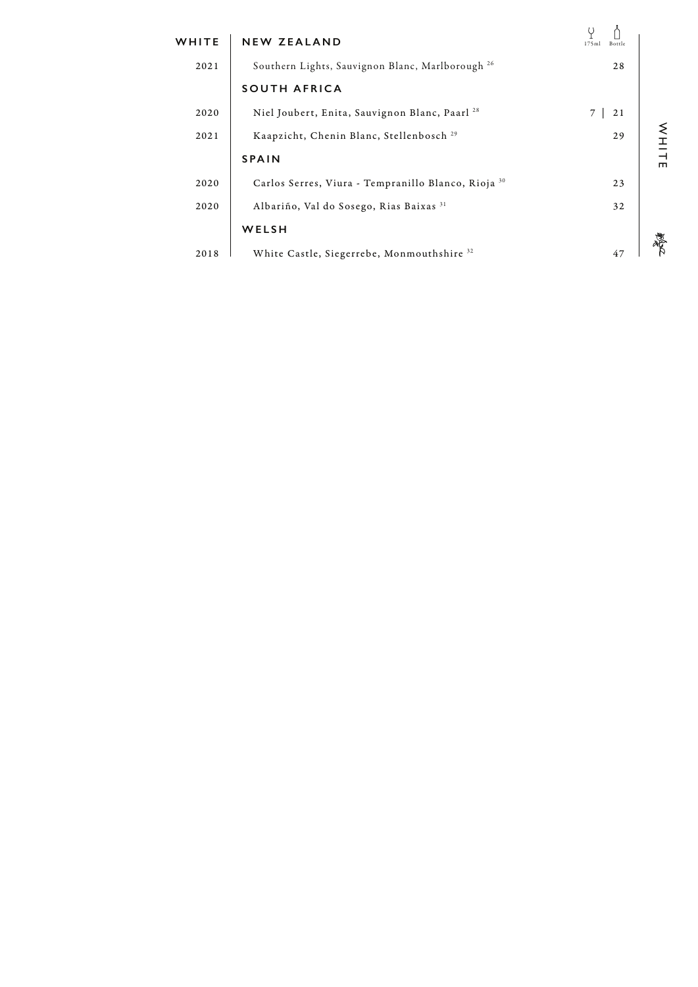| WHITE | <b>NEW ZEALAND</b>                                        | 175m<br>Bottle |   |
|-------|-----------------------------------------------------------|----------------|---|
| 2021  | Southern Lights, Sauvignon Blanc, Marlborough 26          | 28             |   |
|       | <b>SOUTH AFRICA</b>                                       |                |   |
| 2020  | Niel Joubert, Enita, Sauvignon Blanc, Paarl <sup>28</sup> | 21             |   |
| 2021  | Kaapzicht, Chenin Blanc, Stellenbosch <sup>29</sup>       | 29             |   |
|       | <b>SPAIN</b>                                              |                | ш |
| 2020  | Carlos Serres, Viura - Tempranillo Blanco, Rioja 30       | 23             |   |
| 2020  | Albariño, Val do Sosego, Rias Baixas 31                   | 32             |   |
|       | WELSH                                                     |                |   |
| 2018  | White Castle, Siegerrebe, Monmouthshire 32                |                |   |
|       |                                                           |                |   |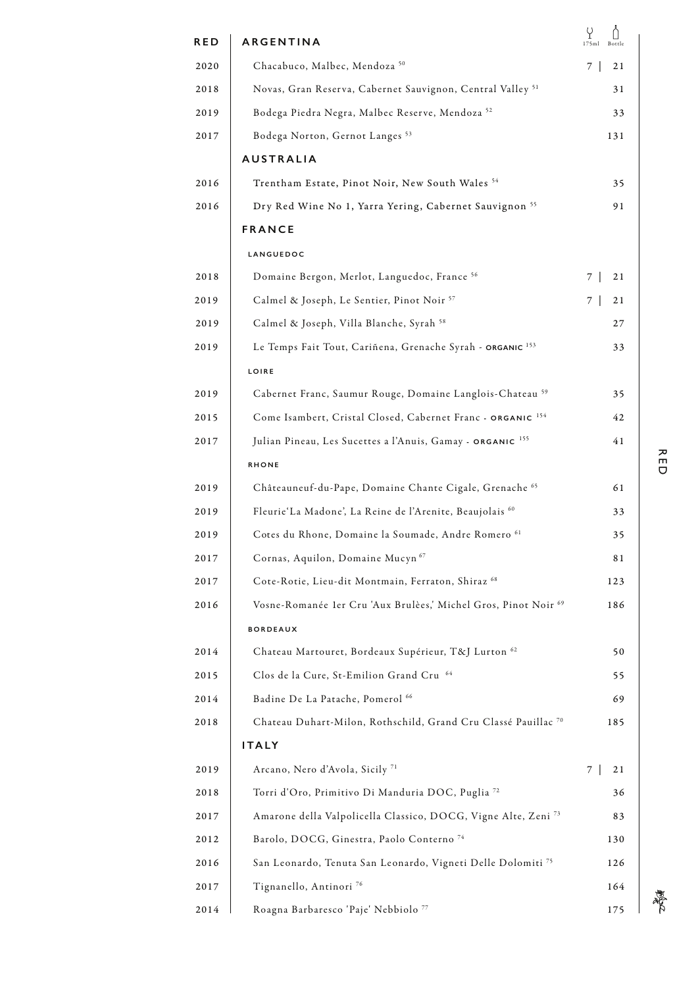| <b>RED</b> | ARGENTINA                                                                 | Y<br>175ml<br>Bottle |
|------------|---------------------------------------------------------------------------|----------------------|
| 2020       | Chacabuco, Malbec, Mendoza <sup>50</sup>                                  | 7 I<br>21            |
| 2018       | Novas, Gran Reserva, Cabernet Sauvignon, Central Valley <sup>51</sup>     | 31                   |
| 2019       | Bodega Piedra Negra, Malbec Reserve, Mendoza 52                           | 33                   |
| 2017       | Bodega Norton, Gernot Langes <sup>53</sup>                                | 131                  |
|            | <b>AUSTRALIA</b>                                                          |                      |
| 2016       | Trentham Estate, Pinot Noir, New South Wales <sup>54</sup>                | 35                   |
| 2016       | Dry Red Wine No 1, Yarra Yering, Cabernet Sauvignon <sup>55</sup>         | 91                   |
|            | <b>FRANCE</b>                                                             |                      |
|            | LANGUEDOC                                                                 |                      |
| 2018       | Domaine Bergon, Merlot, Languedoc, France 56                              | 7 I<br>21            |
| 2019       | Calmel & Joseph, Le Sentier, Pinot Noir <sup>57</sup>                     | 7 I<br>21            |
| 2019       | Calmel & Joseph, Villa Blanche, Syrah <sup>58</sup>                       | 27                   |
| 2019       | Le Temps Fait Tout, Cariñena, Grenache Syrah - ORGANIC <sup>153</sup>     | 33                   |
|            | LOIRE                                                                     |                      |
| 2019       | Cabernet Franc, Saumur Rouge, Domaine Langlois-Chateau 59                 | 35                   |
| 2015       | Come Isambert, Cristal Closed, Cabernet Franc - ORGANIC 154               | 42                   |
| 2017       | Julian Pineau, Les Sucettes a l'Anuis, Gamay - ORGANIC <sup>155</sup>     | 41                   |
|            | <b>RHONE</b>                                                              |                      |
| 2019       | Châteauneuf-du-Pape, Domaine Chante Cigale, Grenache 65                   | 61                   |
| 2019       | Fleurie'La Madone', La Reine de l'Arenite, Beaujolais 60                  | 33                   |
| 2019       | Cotes du Rhone, Domaine la Soumade, Andre Romero <sup>61</sup>            | 35                   |
| 2017       | Cornas, Aquilon, Domaine Mucyn <sup>67</sup>                              | 81                   |
| 2017       | Cote-Rotie, Lieu-dit Montmain, Ferraton, Shiraz <sup>68</sup>             | 123                  |
| 2016       | Vosne-Romanée 1er Cru 'Aux Brulèes,' Michel Gros, Pinot Noir 69           | 186                  |
|            | <b>BORDEAUX</b>                                                           |                      |
| 2014       | Chateau Martouret, Bordeaux Supérieur, T&J Lurton 62                      | 50                   |
| 2015       | Clos de la Cure, St-Emilion Grand Cru 64                                  | 55                   |
| 2014       | Badine De La Patache, Pomerol <sup>66</sup>                               | 69                   |
| 2018       | Chateau Duhart-Milon, Rothschild, Grand Cru Classé Pauillac <sup>70</sup> | 185                  |
|            | <b>ITALY</b>                                                              |                      |
| 2019       | Arcano, Nero d'Avola, Sicily <sup>71</sup>                                | 7 <sup>1</sup><br>21 |
| 2018       | Torri d'Oro, Primitivo Di Manduria DOC, Puglia <sup>72</sup>              | 36                   |
| 2017       | Amarone della Valpolicella Classico, DOCG, Vigne Alte, Zeni <sup>73</sup> | 83                   |
| 2012       | Barolo, DOCG, Ginestra, Paolo Conterno <sup>74</sup>                      | 130                  |
| 2016       | San Leonardo, Tenuta San Leonardo, Vigneti Delle Dolomiti <sup>75</sup>   | 126                  |
| 2017       | Tignanello, Antinori <sup>76</sup>                                        | 164                  |
| 2014       | Roagna Barbaresco 'Paje' Nebbiolo 77                                      | 175                  |

壽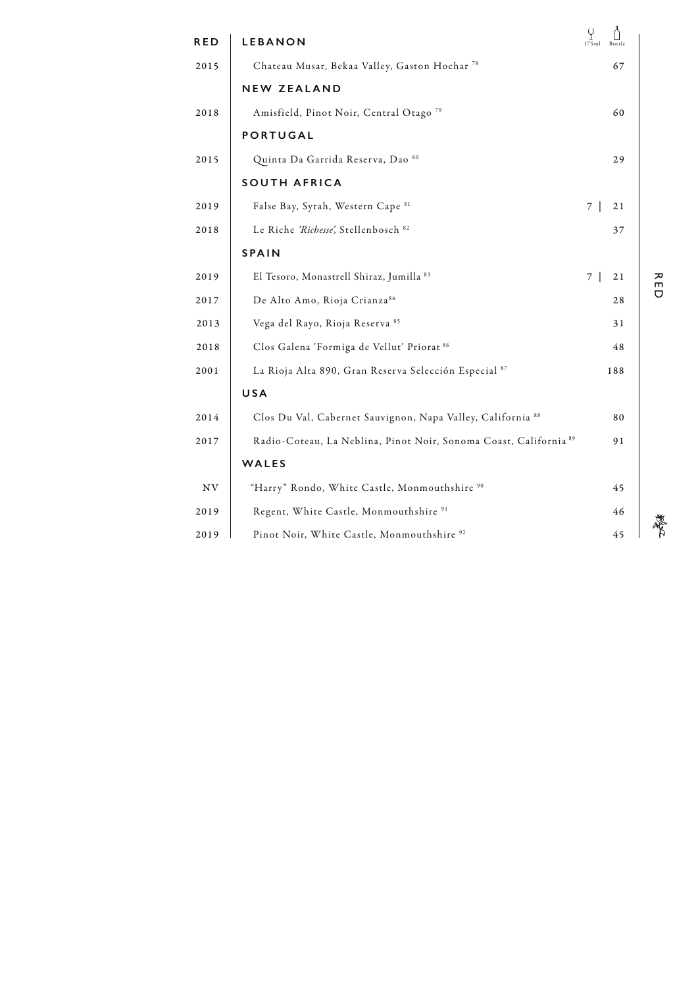| <b>RED</b> | <b>LEBANON</b>                                                               | Ÿ<br>175ml<br>Bottle |
|------------|------------------------------------------------------------------------------|----------------------|
| 2015       | Chateau Musar, Bekaa Valley, Gaston Hochar <sup>78</sup>                     | 67                   |
|            | <b>NEW ZEALAND</b>                                                           |                      |
| 2018       | Amisfield, Pinot Noir, Central Otago <sup>79</sup>                           | 60                   |
|            | <b>PORTUGAL</b>                                                              |                      |
| 2015       | Quinta Da Garrida Reserva, Dao 80                                            | 29                   |
|            | <b>SOUTH AFRICA</b>                                                          |                      |
| 2019       | False Bay, Syrah, Western Cape 81                                            | 7 <sup>1</sup><br>21 |
| 2018       | Le Riche 'Richesse', Stellenbosch <sup>82</sup>                              | 37                   |
|            | <b>SPAIN</b>                                                                 |                      |
| 2019       | El Tesoro, Monastrell Shiraz, Jumilla 83                                     | 7 <sup>1</sup><br>21 |
| 2017       | De Alto Amo, Rioja Crianza <sup>84</sup>                                     | 28                   |
| 2013       | Vega del Rayo, Rioja Reserva <sup>85</sup>                                   | 31                   |
| 2018       | Clos Galena 'Formiga de Vellut' Priorat 86                                   | 48                   |
| 2001       | La Rioja Alta 890, Gran Reserva Selección Especial 87                        | 188                  |
|            | USA                                                                          |                      |
| 2014       | Clos Du Val, Cabernet Sauvignon, Napa Valley, California 88                  | 80                   |
| 2017       | Radio-Coteau, La Neblina, Pinot Noir, Sonoma Coast, California <sup>89</sup> | 91                   |
|            | WALES                                                                        |                      |
| NV         | "Harry" Rondo, White Castle, Monmouthshire 90                                | 45                   |
| 2019       | Regent, White Castle, Monmouthshire <sup>91</sup>                            | 46                   |
| 2019       | Pinot Noir, White Castle, Monmouthshire <sup>92</sup>                        | 45                   |

RED

着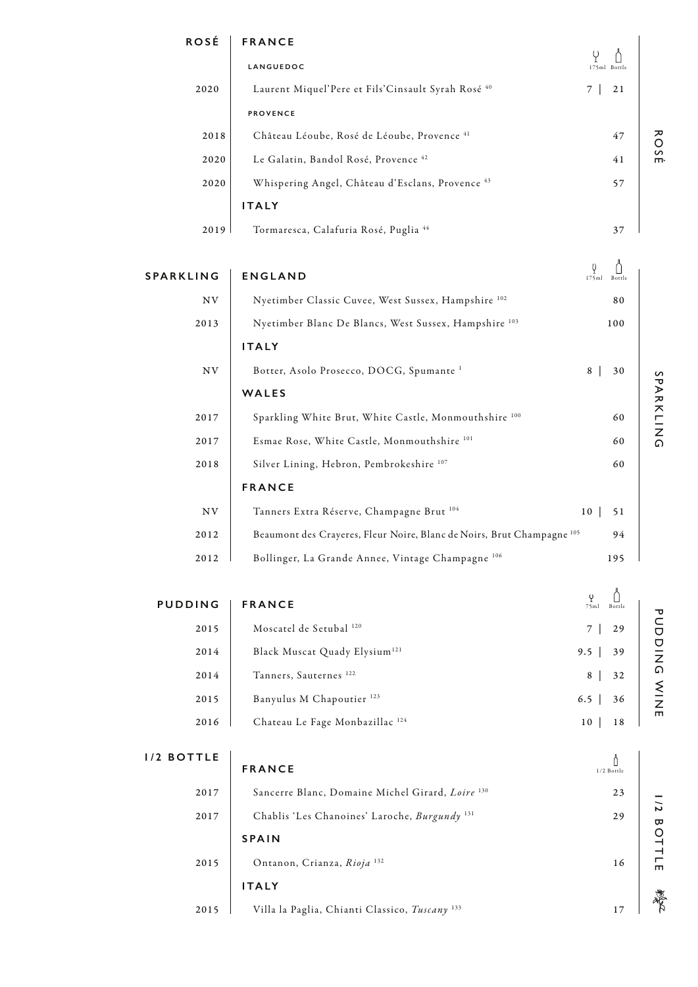| <b>ROSÉ</b>      | <b>FRANCE</b>                                                 |                      |
|------------------|---------------------------------------------------------------|----------------------|
|                  | LANGUEDOC                                                     | 175ml Bottle         |
| 2020             | Laurent Miquel'Pere et Fils'Cinsault Syrah Rosé <sup>40</sup> | 21<br>$\overline{7}$ |
|                  | <b>PROVENCE</b>                                               |                      |
| 2018             | Château Léoube, Rosé de Léoube, Provence 41                   | 47                   |
| 2020             | Le Galatin, Bandol Rosé, Provence <sup>42</sup>               | 41                   |
| 2020             | Whispering Angel, Château d'Esclans, Provence <sup>43</sup>   | 57                   |
|                  | <b>ITALY</b>                                                  |                      |
| 2019             | Tormaresca, Calafuria Rosé, Puglia 44                         | 37                   |
|                  |                                                               |                      |
| <b>SPARKLING</b> | <b>ENGLAND</b>                                                | 175m1<br>Bottle      |
| <b>NV</b>        | Nyetimber Classic Cuvee, West Sussex, Hampshire 102           | 80                   |
| 2013             | Nyetimber Blanc De Blancs, West Sussex, Hampshire 103         | 100                  |
|                  | <b>ITALY</b>                                                  |                      |
| $_{\mathrm{NV}}$ | Botter, Asolo Prosecco, DOCG, Spumante <sup>1</sup>           | 8<br>30              |
|                  | WALES                                                         |                      |
| 2017             | Sparkling White Brut, White Castle, Monmouthshire 100         | 60                   |
| 2017             | Esmae Rose, White Castle, Monmouthshire 101                   | 60                   |
| 2018             | Silver Lining, Hebron, Pembrokeshire <sup>107</sup>           | 60                   |
|                  | <b>FRANCE</b>                                                 |                      |

| NV   | Tanners Extra Réserve, Champagne Brut <sup>104</sup><br>10                        | 51  |
|------|-----------------------------------------------------------------------------------|-----|
| 2012 | Beaumont des Crayeres, Fleur Noire, Blanc de Noirs, Brut Champagne <sup>105</sup> | 94  |
| 2012 | Bollinger, La Grande Annee, Vintage Champagne <sup>106</sup>                      | 195 |

| <b>PUDDING</b> | <b>FRANCE</b>                              | U<br>75ml<br>Bottle |
|----------------|--------------------------------------------|---------------------|
| 2015           | Moscatel de Setubal 120                    | 29                  |
| 2014           | Black Muscat Quady Elysium <sup>121</sup>  | 39<br>$9.5 \perp$   |
| 2014           | Tanners, Sauternes <sup>122</sup>          | 32<br>8             |
| 2015           | Banyulus M Chapoutier <sup>123</sup>       | $6.5 \mid$<br>36    |
| 2016           | Chateau Le Fage Monbazillac <sup>124</sup> | 10<br>18            |

## **1/2 BOTTLE FRANCE** Sancerre Blanc, Domaine Michel Girard, *Loire* <sup>130</sup> Chablis 'Les Chanoines' Laroche, *Burgundy* <sup>131</sup> **SPAIN** Ontanon, Crianza, *Rioja* <sup>132</sup> **ITALY** Villa la Paglia, Chianti Classico, *Tuscany* <sup>133</sup> 2017 2017 2015 2015 23 16 29 17  $\bigcap_{1/2\text{ Bottle}}% {\displaystyle\bigcup_{\mu=1}^{\infty}} \Bigg\{ \frac{1}{\mu(\mu)} \Bigg\}$

PUDDING WINE

**PUDDING WINE** 

ROSÉ

SPARKLING

SPARKLING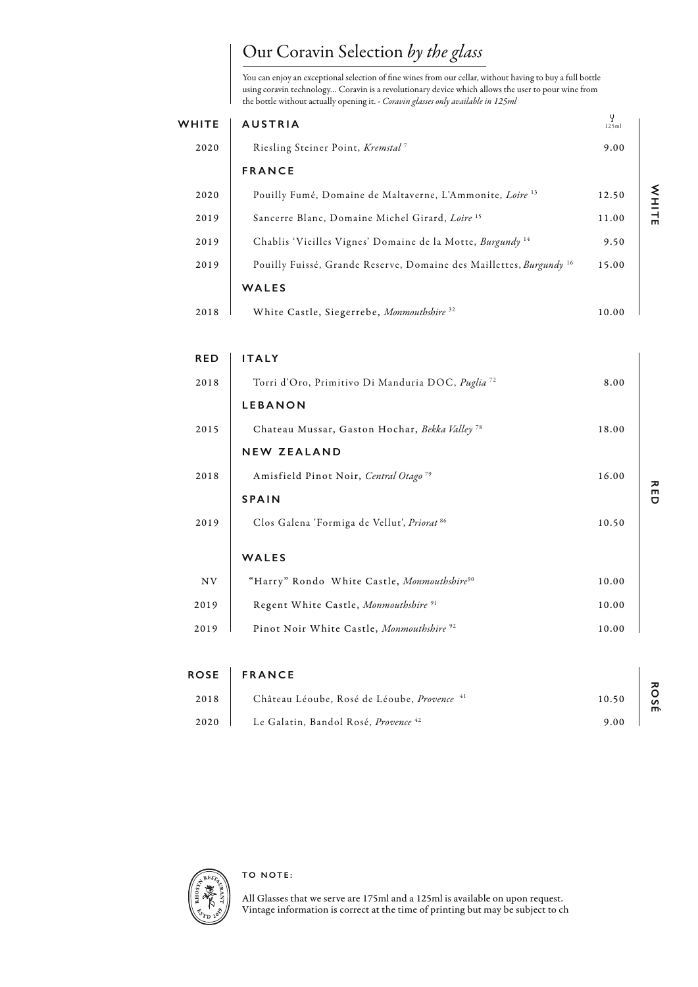## Our Coravin Selection *by the glass*

You can enjoy an exceptional selection of fine wines from our cellar, without having to buy a full bottle using coravin technology… Coravin is a revolutionary device which allows the user to pour wine from the bottle without actually opening it. - *Coravin glasses only available in 125ml* 

| <b>WHITE</b> | <b>AUSTRIA</b>                                                                 | γ<br>125ml |
|--------------|--------------------------------------------------------------------------------|------------|
| 2020         | Riesling Steiner Point, Kremstal <sup>7</sup>                                  | 9.00       |
|              | <b>FRANCE</b>                                                                  |            |
| 2020         | Pouilly Fumé, Domaine de Maltaverne, L'Ammonite, Loire <sup>13</sup>           | 12.50      |
| 2019         | Sancerre Blanc, Domaine Michel Girard, Loire <sup>15</sup>                     | 11.00      |
| 2019         | Chablis 'Vieilles Vignes' Domaine de la Motte, Burgundy <sup>14</sup>          | 9.50       |
| 2019         | Pouilly Fuissé, Grande Reserve, Domaine des Maillettes, Burgundy <sup>16</sup> | 15.00      |
|              | WALES                                                                          |            |
| 2018         | White Castle, Siegerrebe, Monmouthshire 32                                     | 10.00      |

| <b>RED</b> | <b>ITALY</b>                                                        |       |
|------------|---------------------------------------------------------------------|-------|
| 2018       | Torri d'Oro, Primitivo Di Manduria DOC, <i>Puglia</i> <sup>72</sup> | 8.00  |
|            | <b>LEBANON</b>                                                      |       |
| 2015       | Chateau Mussar, Gaston Hochar, Bekka Valley <sup>78</sup>           | 18.00 |
|            | <b>NEW ZEALAND</b>                                                  |       |
| 2018       | Amisfield Pinot Noir, Central Otago <sup>79</sup>                   | 16.00 |
|            | <b>SPAIN</b>                                                        |       |
| 2019       | Clos Galena 'Formiga de Vellut', Priorat 86                         | 10.50 |
|            | <b>WALES</b>                                                        |       |
| NV         | "Harry" Rondo White Castle, Monmouthshire <sup>90</sup>             | 10.00 |
| 2019       | Regent White Castle, Monmouthshire <sup>91</sup>                    | 10.00 |
| 2019       | Pinot Noir White Castle, Monmouthshire <sup>92</sup>                | 10.00 |

|      | ROSE   FRANCE                                   |       |
|------|-------------------------------------------------|-------|
| 2018 | Château Léoube, Rosé de Léoube, Provence 41     | 10.50 |
| 2020 | Le Galatin, Bandol Rosé, Provence <sup>42</sup> | 9.00  |



All Glasses that we serve are 175ml and a 125ml is available on upon request. Vintage information is correct at the time of printing but may be subject to ch